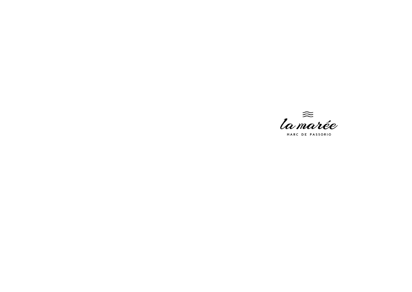

MARC DE PASSORIO